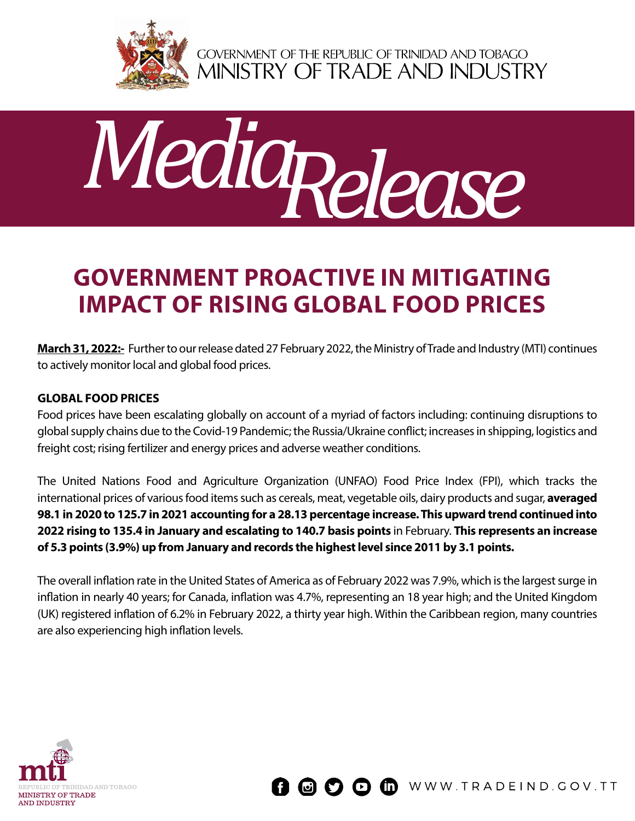

GOVERNMENT OF THE REPUBLIC OF TRINIDAD AND TOBAGO<br>MINISTRY OF TRADE AND INDUSTRY



# **Government Proactive in Mitigating Impact of Rising Global Food Prices**

**March 31, 2022:-** Further to our release dated 27 February 2022, the Ministry of Trade and Industry (MTI) continues to actively monitor local and global food prices.

#### **Global Food Prices**

Food prices have been escalating globally on account of a myriad of factors including: continuing disruptions to global supply chains due to the Covid-19 Pandemic; the Russia/Ukraine conflict; increases in shipping, logistics and freight cost; rising fertilizer and energy prices and adverse weather conditions.

The United Nations Food and Agriculture Organization (UNFAO) Food Price Index (FPI), which tracks the international prices of various food items such as cereals, meat, vegetable oils, dairy products and sugar, **averaged 98.1 in 2020 to 125.7 in 2021 accounting for a 28.13 percentage increase. This upward trend continued into 2022 rising to 135.4 in January and escalating to 140.7 basis points** in February. **This represents an increase of 5.3 points (3.9%) up from January and records the highest level since 2011 by 3.1 points.**

The overall inflation rate in the United States of America as of February 2022 was 7.9%, which is the largest surge in inflation in nearly 40 years; for Canada, inflation was 4.7%, representing an 18 year high; and the United Kingdom (UK) registered inflation of 6.2% in February 2022, a thirty year high. Within the Caribbean region, many countries are also experiencing high inflation levels.



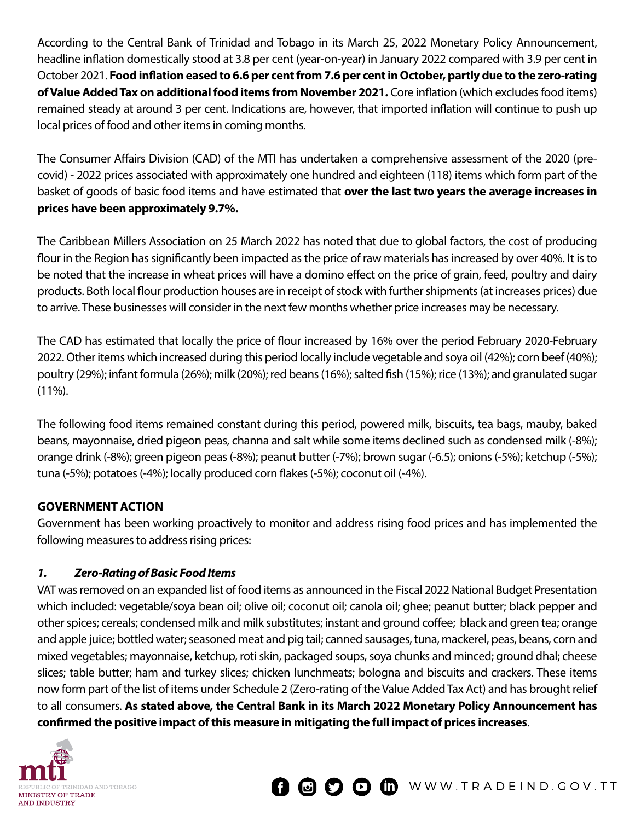According to the Central Bank of Trinidad and Tobago in its March 25, 2022 Monetary Policy Announcement, headline inflation domestically stood at 3.8 per cent (year-on-year) in January 2022 compared with 3.9 per cent in October 2021. **Food inflation eased to 6.6 per cent from 7.6 per cent in October, partly due to the zero-rating of Value Added Tax on additional food items from November 2021.** Core inflation (which excludes food items) remained steady at around 3 per cent. Indications are, however, that imported inflation will continue to push up local prices of food and other items in coming months.

The Consumer Affairs Division (CAD) of the MTI has undertaken a comprehensive assessment of the 2020 (precovid) - 2022 prices associated with approximately one hundred and eighteen (118) items which form part of the basket of goods of basic food items and have estimated that **over the last two years the average increases in prices have been approximately 9.7%.**

The Caribbean Millers Association on 25 March 2022 has noted that due to global factors, the cost of producing flour in the Region has significantly been impacted as the price of raw materials has increased by over 40%. It is to be noted that the increase in wheat prices will have a domino effect on the price of grain, feed, poultry and dairy products. Both local flour production houses are in receipt of stock with further shipments (at increases prices) due to arrive. These businesses will consider in the next few months whether price increases may be necessary.

The CAD has estimated that locally the price of flour increased by 16% over the period February 2020-February 2022. Other items which increased during this period locally include vegetable and soya oil (42%); corn beef (40%); poultry (29%); infant formula (26%); milk (20%); red beans (16%); salted fish (15%); rice (13%); and granulated sugar  $(11\%)$ .

The following food items remained constant during this period, powered milk, biscuits, tea bags, mauby, baked beans, mayonnaise, dried pigeon peas, channa and salt while some items declined such as condensed milk (-8%); orange drink (-8%); green pigeon peas (-8%); peanut butter (-7%); brown sugar (-6.5); onions (-5%); ketchup (-5%); tuna (-5%); potatoes (-4%); locally produced corn flakes (-5%); coconut oil (-4%).

#### **Government Action**

Government has been working proactively to monitor and address rising food prices and has implemented the following measures to address rising prices:

# *1. Zero-Rating of Basic Food Items*

VAT was removed on an expanded list of food items as announced in the Fiscal 2022 National Budget Presentation which included: vegetable/soya bean oil; olive oil; coconut oil; canola oil; ghee; peanut butter; black pepper and other spices; cereals; condensed milk and milk substitutes; instant and ground coffee; black and green tea; orange and apple juice; bottled water; seasoned meat and pig tail; canned sausages, tuna, mackerel, peas, beans, corn and mixed vegetables; mayonnaise, ketchup, roti skin, packaged soups, soya chunks and minced; ground dhal; cheese slices; table butter; ham and turkey slices; chicken lunchmeats; bologna and biscuits and crackers. These items now form part of the list of items under Schedule 2 (Zero-rating of the Value Added Tax Act) and has brought relief to all consumers. **As stated above, the Central Bank in its March 2022 Monetary Policy Announcement has confirmed the positive impact of this measure in mitigating the full impact of prices increases**.

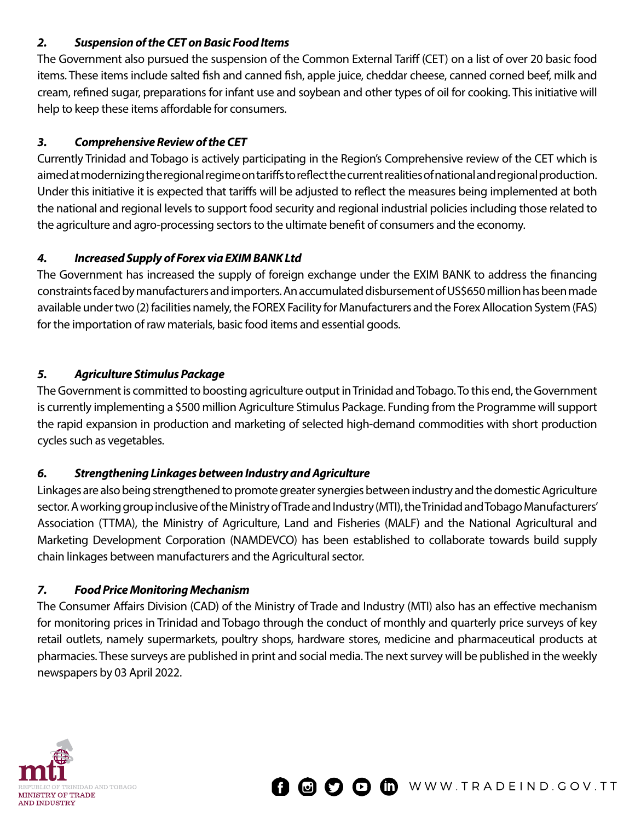#### *2. Suspension of the CET on Basic Food Items*

The Government also pursued the suspension of the Common External Tariff (CET) on a list of over 20 basic food items. These items include salted fish and canned fish, apple juice, cheddar cheese, canned corned beef, milk and cream, refined sugar, preparations for infant use and soybean and other types of oil for cooking. This initiative will help to keep these items affordable for consumers.

## *3. Comprehensive Review of the CET*

Currently Trinidad and Tobago is actively participating in the Region's Comprehensive review of the CET which is aimed at modernizing the regional regime on tariffs to reflect the current realities of national and regional production. Under this initiative it is expected that tariffs will be adjusted to reflect the measures being implemented at both the national and regional levels to support food security and regional industrial policies including those related to the agriculture and agro-processing sectors to the ultimate benefit of consumers and the economy.

### *4. Increased Supply of Forex via EXIM BANK Ltd*

The Government has increased the supply of foreign exchange under the EXIM BANK to address the financing constraints faced by manufacturers and importers. An accumulated disbursement of US\$650 million has been made available under two (2) facilities namely, the FOREX Facility for Manufacturers and the Forex Allocation System (FAS) for the importation of raw materials, basic food items and essential goods.

### *5. Agriculture Stimulus Package*

The Government is committed to boosting agriculture output in Trinidad and Tobago. To this end, the Government is currently implementing a \$500 million Agriculture Stimulus Package. Funding from the Programme will support the rapid expansion in production and marketing of selected high-demand commodities with short production cycles such as vegetables.

# *6. Strengthening Linkages between Industry and Agriculture*

Linkages are also being strengthened to promote greater synergies between industry and the domestic Agriculture sector. A working group inclusive of the Ministry of Trade and Industry (MTI), the Trinidad and Tobago Manufacturers' Association (TTMA), the Ministry of Agriculture, Land and Fisheries (MALF) and the National Agricultural and Marketing Development Corporation (NAMDEVCO) has been established to collaborate towards build supply chain linkages between manufacturers and the Agricultural sector.

# *7. Food Price Monitoring Mechanism*

The Consumer Affairs Division (CAD) of the Ministry of Trade and Industry (MTI) also has an effective mechanism for monitoring prices in Trinidad and Tobago through the conduct of monthly and quarterly price surveys of key retail outlets, namely supermarkets, poultry shops, hardware stores, medicine and pharmaceutical products at pharmacies. These surveys are published in print and social media. The next survey will be published in the weekly newspapers by 03 April 2022.